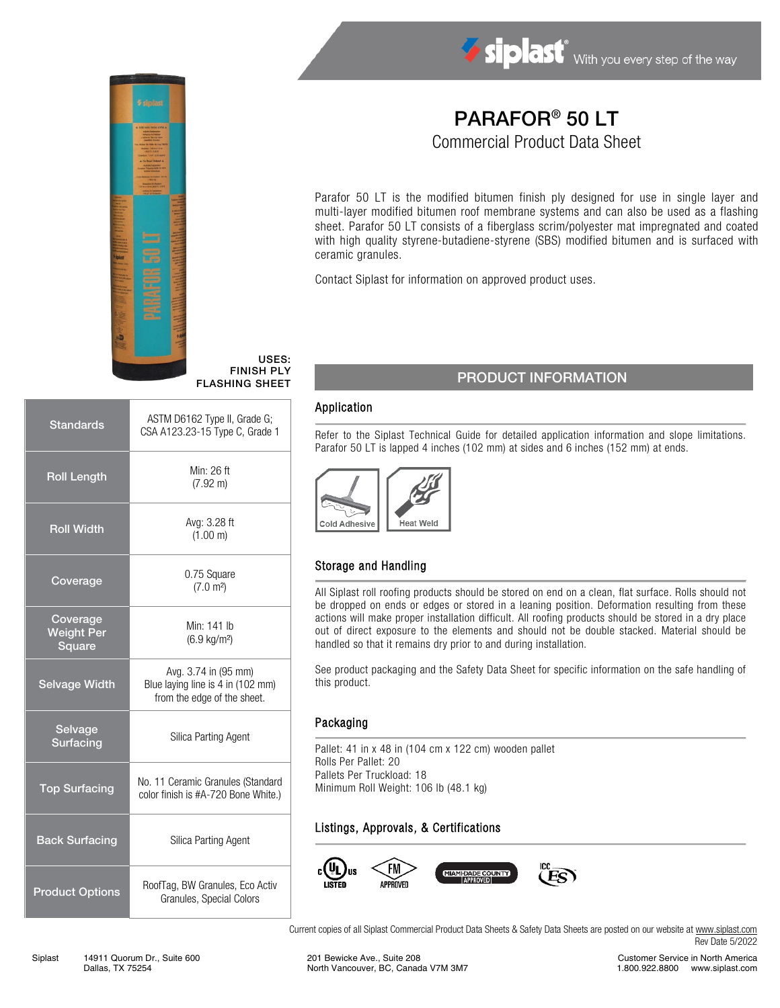

USES: FINISH PLY

| <b>Standards</b>                        | ASTM D6162 Type II, Grade G;<br>CSA A123.23-15 Type C, Grade 1                           |  |  |  |
|-----------------------------------------|------------------------------------------------------------------------------------------|--|--|--|
| <b>Roll Length</b>                      | Min: 26 ft<br>$(7.92 \text{ m})$                                                         |  |  |  |
| <b>Roll Width</b>                       | Avg: 3.28 ft<br>(1.00 m)                                                                 |  |  |  |
| Coverage                                | 0.75 Square<br>(7.0 m <sup>2</sup> )                                                     |  |  |  |
| Coverage<br><b>Weight Per</b><br>Square | Min: 141 lb<br>$(6.9 \text{ kg/m}^2)$                                                    |  |  |  |
| <b>Selvage Width</b>                    | Avg. 3.74 in (95 mm)<br>Blue laying line is 4 in (102 mm)<br>from the edge of the sheet. |  |  |  |
| Selvage<br>Surfacing                    | Silica Parting Agent                                                                     |  |  |  |
| <b>Top Surfacing</b>                    | No. 11 Ceramic Granules (Standard<br>color finish is #A-720 Bone White.)                 |  |  |  |
| <b>Back Surfacing</b>                   | Silica Parting Agent                                                                     |  |  |  |
| <b>Product Options</b>                  | RoofTag, BW Granules, Eco Activ<br>Granules, Special Colors                              |  |  |  |

# PARAFOR® 50 LT

Commercial Product Data Sheet

Parafor 50 LT is the modified bitumen finish ply designed for use in single layer and multi-layer modified bitumen roof membrane systems and can also be used as a flashing sheet. Parafor 50 LT consists of a fiberglass scrim/polyester mat impregnated and coated with high quality styrene-butadiene-styrene (SBS) modified bitumen and is surfaced with ceramic granules.

Contact Siplast for information on approved product uses.

## FLASHING SHEET PRODUCT INFORMATION

#### Application

Refer to the Siplast Technical Guide for detailed application information and slope limitations. Parafor 50 LT is lapped 4 inches (102 mm) at sides and 6 inches (152 mm) at ends.



### Storage and Handling

All Siplast roll roofing products should be stored on end on a clean, flat surface. Rolls should not be dropped on ends or edges or stored in a leaning position. Deformation resulting from these actions will make proper installation difficult. All roofing products should be stored in a dry place out of direct exposure to the elements and should not be double stacked. Material should be handled so that it remains dry prior to and during installation.

See product packaging and the Safety Data Sheet for specific information on the safe handling of this product.

#### Packaging

Pallet: 41 in x 48 in (104 cm x 122 cm) wooden pallet Rolls Per Pallet: 20 Pallets Per Truckload: 18 Minimum Roll Weight: 106 lb (48.1 kg)

### Listings, Approvals, & Certifications



Current copies of all Siplast Commercial Product Data Sheets & Safety Data Sheets are posted on our website a[t www.siplast.com](http://www.siplast.com/) Rev Date 5/2022